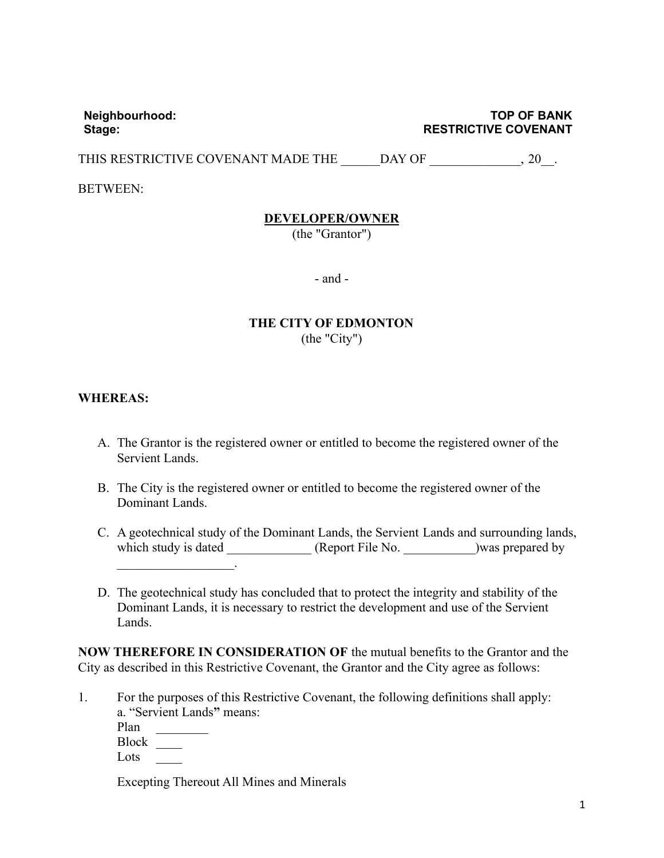**Neighbourhood: TOP OF BANK Stage: RESTRICTIVE COVENANT**

THIS RESTRICTIVE COVENANT MADE THE DAY OF \_\_\_\_\_\_\_\_\_\_\_\_\_\_\_, 20\_\_\_.

BETWEEN:

## **DEVELOPER/OWNER**

(the "Grantor")

- and -

## **THE CITY OF EDMONTON** (the "City")

## **WHEREAS:**

- A. The Grantor is the registered owner or entitled to become the registered owner of the Servient Lands.
- B. The City is the registered owner or entitled to become the registered owner of the Dominant Lands.
- C. A geotechnical study of the Dominant Lands, the Servient Lands and surrounding lands, which study is dated  $(Report File No. ) was prepared by$  $\frac{1}{2}$  and  $\frac{1}{2}$  and  $\frac{1}{2}$  and  $\frac{1}{2}$  and  $\frac{1}{2}$  and  $\frac{1}{2}$
- D. The geotechnical study has concluded that to protect the integrity and stability of the Dominant Lands, it is necessary to restrict the development and use of the Servient Lands.

**NOW THEREFORE IN CONSIDERATION OF** the mutual benefits to the Grantor and the City as described in this Restrictive Covenant, the Grantor and the City agree as follows:

1. For the purposes of this Restrictive Covenant, the following definitions shall apply: a. "Servient Lands**"** means:

Plan

Block \_\_\_\_

Lots \_\_\_\_

Excepting Thereout All Mines and Minerals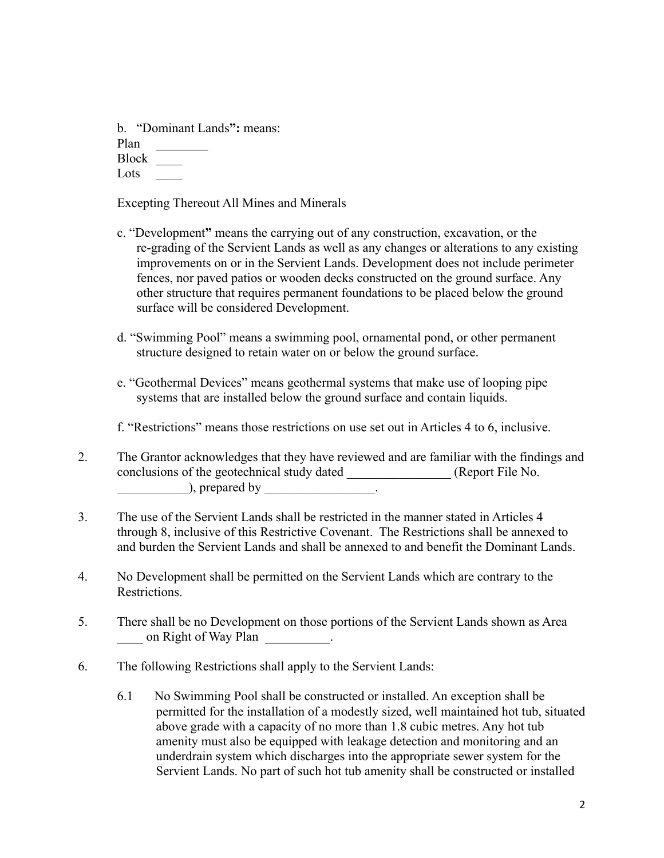b. "Dominant Lands**":** means: Plan Block \_\_\_\_ Lots  $\frac{1}{2}$ 

Excepting Thereout All Mines and Minerals

- c. "Development**"** means the carrying out of any construction, excavation, or the re-grading of the Servient Lands as well as any changes or alterations to any existing improvements on or in the Servient Lands. Development does not include perimeter fences, nor paved patios or wooden decks constructed on the ground surface. Any other structure that requires permanent foundations to be placed below the ground surface will be considered Development.
- d. "Swimming Pool" means a swimming pool, ornamental pond, or other permanent structure designed to retain water on or below the ground surface.
- e. "Geothermal Devices" means geothermal systems that make use of looping pipe systems that are installed below the ground surface and contain liquids.

f. "Restrictions" means those restrictions on use set out in Articles 4 to 6, inclusive.

- 2. The Grantor acknowledges that they have reviewed and are familiar with the findings and conclusions of the geotechnical study dated \_\_\_\_\_\_\_\_\_\_\_\_\_\_\_\_ (Report File No.  $\rho$ , prepared by \_\_\_\_\_\_\_\_\_\_\_\_\_\_\_\_\_\_\_.
- 3. The use of the Servient Lands shall be restricted in the manner stated in Articles 4 through 8, inclusive of this Restrictive Covenant. The Restrictions shall be annexed to and burden the Servient Lands and shall be annexed to and benefit the Dominant Lands.
- 4. No Development shall be permitted on the Servient Lands which are contrary to the Restrictions.
- 5. There shall be no Development on those portions of the Servient Lands shown as Area on Right of Way Plan \_\_\_\_\_\_\_\_\_.
- 6. The following Restrictions shall apply to the Servient Lands:
	- 6.1 No Swimming Pool shall be constructed or installed. An exception shall be permitted for the installation of a modestly sized, well maintained hot tub, situated above grade with a capacity of no more than 1.8 cubic metres. Any hot tub amenity must also be equipped with leakage detection and monitoring and an underdrain system which discharges into the appropriate sewer system for the Servient Lands. No part of such hot tub amenity shall be constructed or installed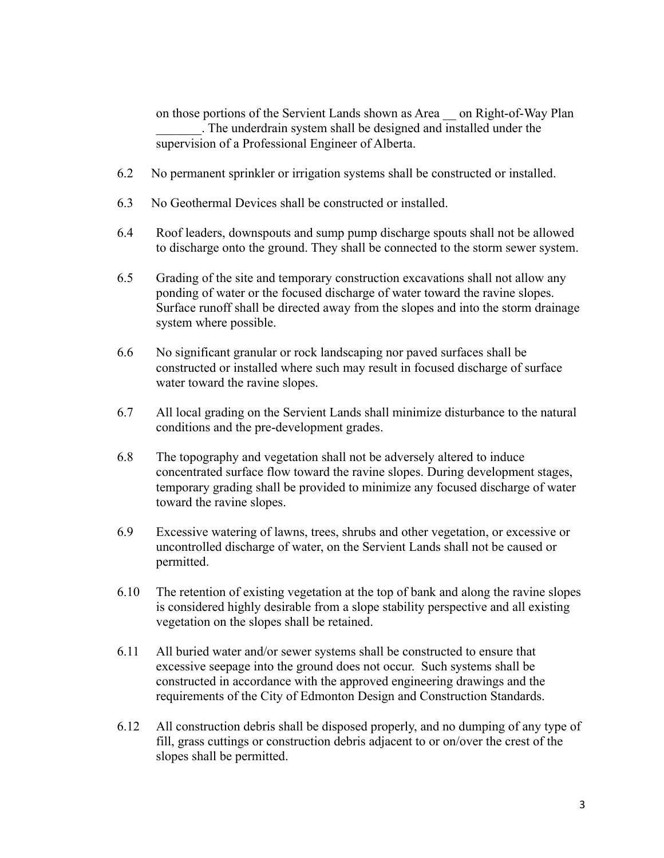on those portions of the Servient Lands shown as Area — on Right-of-Way Plan \_\_\_\_\_\_\_. The underdrain system shall be designed and installed under the supervision of a Professional Engineer of Alberta.

- 6.2 No permanent sprinkler or irrigation systems shall be constructed or installed.
- 6.3 No Geothermal Devices shall be constructed or installed.
- 6.4 Roof leaders, downspouts and sump pump discharge spouts shall not be allowed to discharge onto the ground. They shall be connected to the storm sewer system.
- 6.5 Grading of the site and temporary construction excavations shall not allow any ponding of water or the focused discharge of water toward the ravine slopes. Surface runoff shall be directed away from the slopes and into the storm drainage system where possible.
- 6.6 No significant granular or rock landscaping nor paved surfaces shall be constructed or installed where such may result in focused discharge of surface water toward the ravine slopes.
- 6.7 All local grading on the Servient Lands shall minimize disturbance to the natural conditions and the pre-development grades.
- 6.8 The topography and vegetation shall not be adversely altered to induce concentrated surface flow toward the ravine slopes. During development stages, temporary grading shall be provided to minimize any focused discharge of water toward the ravine slopes.
- 6.9 Excessive watering of lawns, trees, shrubs and other vegetation, or excessive or uncontrolled discharge of water, on the Servient Lands shall not be caused or permitted.
- 6.10 The retention of existing vegetation at the top of bank and along the ravine slopes is considered highly desirable from a slope stability perspective and all existing vegetation on the slopes shall be retained.
- 6.11 All buried water and/or sewer systems shall be constructed to ensure that excessive seepage into the ground does not occur. Such systems shall be constructed in accordance with the approved engineering drawings and the requirements of the City of Edmonton Design and Construction Standards.
- 6.12 All construction debris shall be disposed properly, and no dumping of any type of fill, grass cuttings or construction debris adjacent to or on/over the crest of the slopes shall be permitted.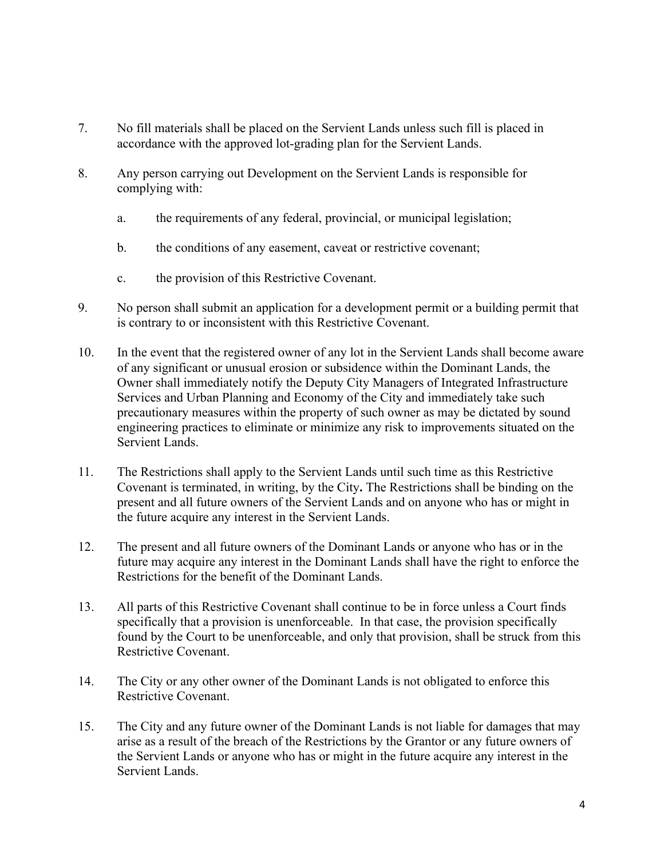- 7. No fill materials shall be placed on the Servient Lands unless such fill is placed in accordance with the approved lot-grading plan for the Servient Lands.
- 8. Any person carrying out Development on the Servient Lands is responsible for complying with:
	- a. the requirements of any federal, provincial, or municipal legislation;
	- b. the conditions of any easement, caveat or restrictive covenant;
	- c. the provision of this Restrictive Covenant.
- 9. No person shall submit an application for a development permit or a building permit that is contrary to or inconsistent with this Restrictive Covenant.
- 10. In the event that the registered owner of any lot in the Servient Lands shall become aware of any significant or unusual erosion or subsidence within the Dominant Lands, the Owner shall immediately notify the Deputy City Managers of Integrated Infrastructure Services and Urban Planning and Economy of the City and immediately take such precautionary measures within the property of such owner as may be dictated by sound engineering practices to eliminate or minimize any risk to improvements situated on the Servient Lands.
- 11. The Restrictions shall apply to the Servient Lands until such time as this Restrictive Covenant is terminated, in writing, by the City**.** The Restrictions shall be binding on the present and all future owners of the Servient Lands and on anyone who has or might in the future acquire any interest in the Servient Lands.
- 12. The present and all future owners of the Dominant Lands or anyone who has or in the future may acquire any interest in the Dominant Lands shall have the right to enforce the Restrictions for the benefit of the Dominant Lands.
- 13. All parts of this Restrictive Covenant shall continue to be in force unless a Court finds specifically that a provision is unenforceable. In that case, the provision specifically found by the Court to be unenforceable, and only that provision, shall be struck from this Restrictive Covenant.
- 14. The City or any other owner of the Dominant Lands is not obligated to enforce this Restrictive Covenant.
- 15. The City and any future owner of the Dominant Lands is not liable for damages that may arise as a result of the breach of the Restrictions by the Grantor or any future owners of the Servient Lands or anyone who has or might in the future acquire any interest in the Servient Lands.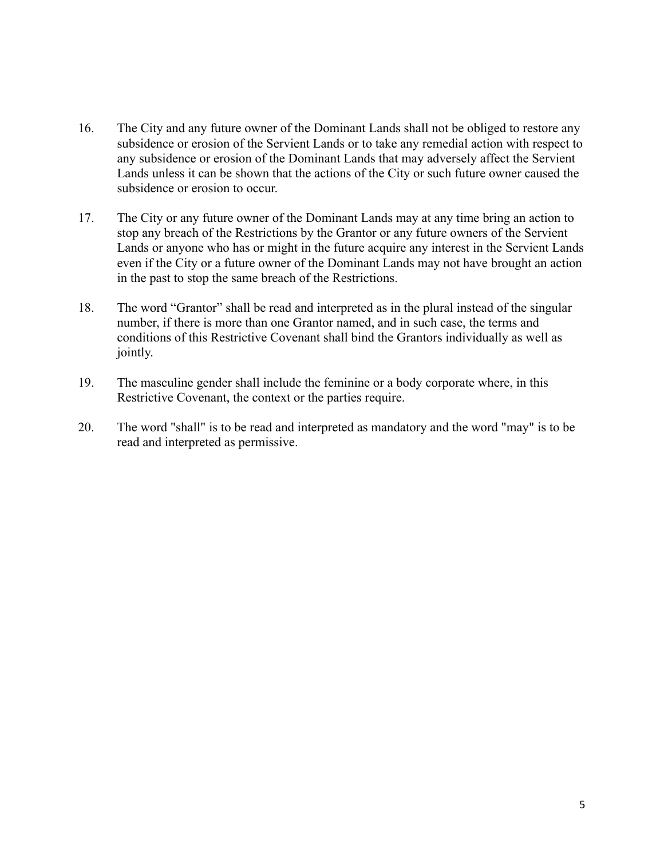- 16. The City and any future owner of the Dominant Lands shall not be obliged to restore any subsidence or erosion of the Servient Lands or to take any remedial action with respect to any subsidence or erosion of the Dominant Lands that may adversely affect the Servient Lands unless it can be shown that the actions of the City or such future owner caused the subsidence or erosion to occur.
- 17. The City or any future owner of the Dominant Lands may at any time bring an action to stop any breach of the Restrictions by the Grantor or any future owners of the Servient Lands or anyone who has or might in the future acquire any interest in the Servient Lands even if the City or a future owner of the Dominant Lands may not have brought an action in the past to stop the same breach of the Restrictions.
- 18. The word "Grantor" shall be read and interpreted as in the plural instead of the singular number, if there is more than one Grantor named, and in such case, the terms and conditions of this Restrictive Covenant shall bind the Grantors individually as well as jointly.
- 19. The masculine gender shall include the feminine or a body corporate where, in this Restrictive Covenant, the context or the parties require.
- 20. The word "shall" is to be read and interpreted as mandatory and the word "may" is to be read and interpreted as permissive.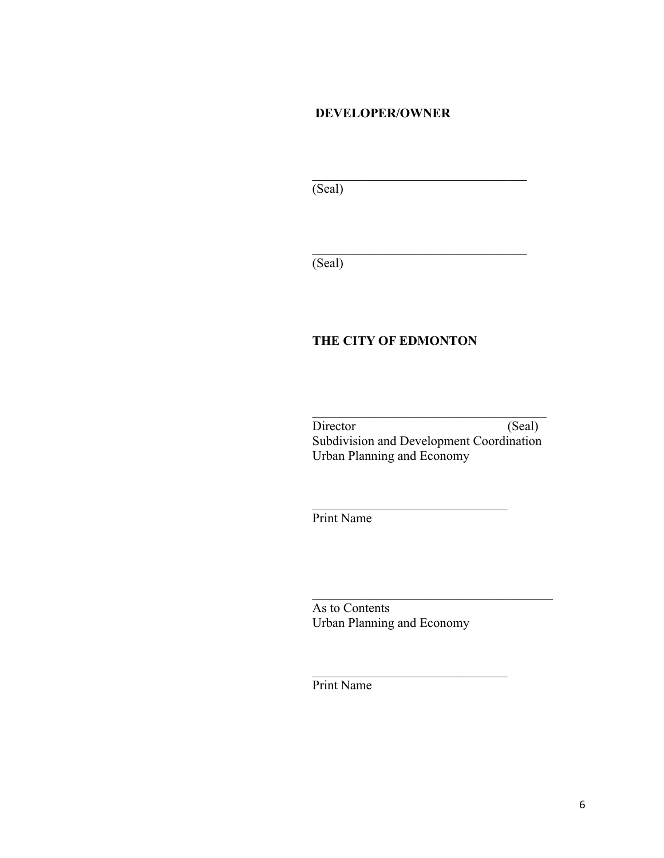#### **DEVELOPER/OWNER**

 $\mathcal{L}_\text{max}$  , where  $\mathcal{L}_\text{max}$  is the set of the set of the set of the set of the set of the set of the set of the set of the set of the set of the set of the set of the set of the set of the set of the set of the se

 $\mathcal{L}_\text{max}$  , where  $\mathcal{L}_\text{max}$  is the set of the set of the set of the set of the set of the set of the set of the set of the set of the set of the set of the set of the set of the set of the set of the set of the se

 $\overline{\text{(Seal)}}$ 

(Seal)

## **THE CITY OF EDMONTON**

 $\mathcal{L}_\text{max}$  , where  $\mathcal{L}_\text{max}$  and  $\mathcal{L}_\text{max}$  and  $\mathcal{L}_\text{max}$ Director (Seal) Subdivision and Development Coordination Urban Planning and Economy

 $\mathcal{L}_\text{max}$  , and the set of the set of the set of the set of the set of the set of the set of the set of the set of the set of the set of the set of the set of the set of the set of the set of the set of the set of the

Print Name

As to Contents Urban Planning and Economy

 $\mathcal{L}_\text{max}$  , where  $\mathcal{L}_\text{max}$  and  $\mathcal{L}_\text{max}$  and  $\mathcal{L}_\text{max}$ 

Print Name